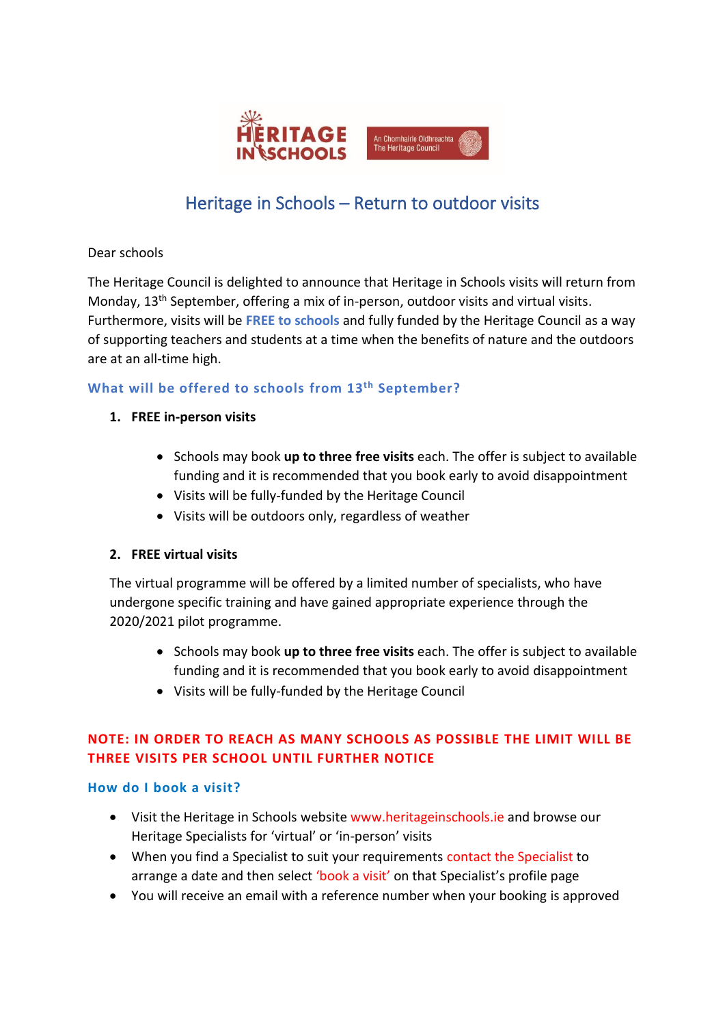

# Heritage in Schools – Return to outdoor visits

Dear schools

The Heritage Council is delighted to announce that Heritage in Schools visits will return from Monday, 13<sup>th</sup> September, offering a mix of in-person, outdoor visits and virtual visits. Furthermore, visits will be **FREE to schools** and fully funded by the Heritage Council as a way of supporting teachers and students at a time when the benefits of nature and the outdoors are at an all-time high.

## **What will be offered to schools from 13th September?**

- **1. FREE in-person visits**
	- Schools may book **up to three free visits** each. The offer is subject to available funding and it is recommended that you book early to avoid disappointment
	- Visits will be fully-funded by the Heritage Council
	- Visits will be outdoors only, regardless of weather

## **2. FREE virtual visits**

The virtual programme will be offered by a limited number of specialists, who have undergone specific training and have gained appropriate experience through the 2020/2021 pilot programme.

- Schools may book **up to three free visits** each. The offer is subject to available funding and it is recommended that you book early to avoid disappointment
- Visits will be fully-funded by the Heritage Council

# **NOTE: IN ORDER TO REACH AS MANY SCHOOLS AS POSSIBLE THE LIMIT WILL BE THREE VISITS PER SCHOOL UNTIL FURTHER NOTICE**

#### **How do I book a visit?**

- Visit the Heritage in Schools website www.heritageinschools.ie and browse our Heritage Specialists for 'virtual' or 'in-person' visits
- When you find a Specialist to suit your requirements contact the Specialist to arrange a date and then select 'book a visit' on that Specialist's profile page
- You will receive an email with a reference number when your booking is approved